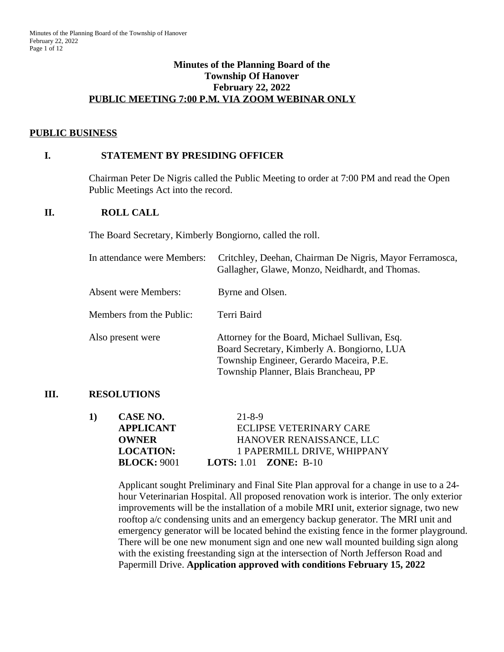### **Minutes of the Planning Board of the Township Of Hanover February 22, 2022 PUBLIC MEETING 7:00 P.M. VIA ZOOM WEBINAR ONLY**

### **PUBLIC BUSINESS**

### **I. STATEMENT BY PRESIDING OFFICER**

Chairman Peter De Nigris called the Public Meeting to order at 7:00 PM and read the Open Public Meetings Act into the record.

#### **II. ROLL CALL**

The Board Secretary, Kimberly Bongiorno, called the roll.

| In attendance were Members: | Critchley, Deehan, Chairman De Nigris, Mayor Ferramosca,<br>Gallagher, Glawe, Monzo, Neidhardt, and Thomas.                                                                        |
|-----------------------------|------------------------------------------------------------------------------------------------------------------------------------------------------------------------------------|
| <b>Absent were Members:</b> | Byrne and Olsen.                                                                                                                                                                   |
| Members from the Public:    | Terri Baird                                                                                                                                                                        |
| Also present were           | Attorney for the Board, Michael Sullivan, Esq.<br>Board Secretary, Kimberly A. Bongiorno, LUA<br>Township Engineer, Gerardo Maceira, P.E.<br>Township Planner, Blais Brancheau, PP |

### **III. RESOLUTIONS**

| 1) | CASE NO.           | $21 - 8 - 9$                        |
|----|--------------------|-------------------------------------|
|    | <b>APPLICANT</b>   | ECLIPSE VETERINARY CARE             |
|    | <b>OWNER</b>       | HANOVER RENAISSANCE, LLC            |
|    | <b>LOCATION:</b>   | 1 PAPERMILL DRIVE, WHIPPANY         |
|    | <b>BLOCK: 9001</b> | <b>LOTS:</b> 1.01 <b>ZONE:</b> B-10 |

Applicant sought Preliminary and Final Site Plan approval for a change in use to a 24 hour Veterinarian Hospital. All proposed renovation work is interior. The only exterior improvements will be the installation of a mobile MRI unit, exterior signage, two new rooftop a/c condensing units and an emergency backup generator. The MRI unit and emergency generator will be located behind the existing fence in the former playground. There will be one new monument sign and one new wall mounted building sign along with the existing freestanding sign at the intersection of North Jefferson Road and Papermill Drive. **Application approved with conditions February 15, 2022**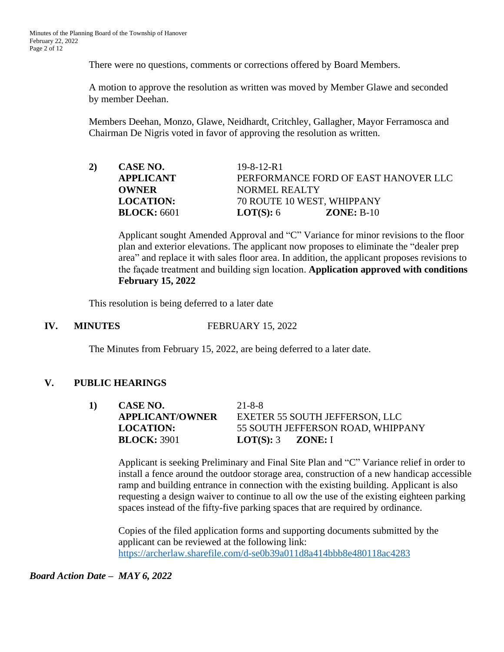There were no questions, comments or corrections offered by Board Members.

A motion to approve the resolution as written was moved by Member Glawe and seconded by member Deehan.

Members Deehan, Monzo, Glawe, Neidhardt, Critchley, Gallagher, Mayor Ferramosca and Chairman De Nigris voted in favor of approving the resolution as written.

| 2) | CASE NO.           | $19 - 8 - 12 - R1$                   |  |
|----|--------------------|--------------------------------------|--|
|    | <b>APPLICANT</b>   | PERFORMANCE FORD OF EAST HANOVER LLC |  |
|    | <b>OWNER</b>       | NORMEL REALTY                        |  |
|    | <b>LOCATION:</b>   | 70 ROUTE 10 WEST, WHIPPANY           |  |
|    | <b>BLOCK:</b> 6601 | <b>LOT(S):</b> $6$<br>$ZONE: B-10$   |  |

Applicant sought Amended Approval and "C" Variance for minor revisions to the floor plan and exterior elevations. The applicant now proposes to eliminate the "dealer prep area" and replace it with sales floor area. In addition, the applicant proposes revisions to the façade treatment and building sign location. **Application approved with conditions February 15, 2022**

This resolution is being deferred to a later date

**IV. MINUTES FEBRUARY** 15, 2022

The Minutes from February 15, 2022, are being deferred to a later date.

# **V. PUBLIC HEARINGS**

**1) CASE NO.** 21-8-8 **APPLICANT/OWNER** EXETER 55 SOUTH JEFFERSON, LLC **LOCATION:** 55 SOUTH JEFFERSON ROAD, WHIPPANY **BLOCK:** 3901 **LOT(S):** 3 **ZONE:** I

Applicant is seeking Preliminary and Final Site Plan and "C" Variance relief in order to install a fence around the outdoor storage area, construction of a new handicap accessible ramp and building entrance in connection with the existing building. Applicant is also requesting a design waiver to continue to all ow the use of the existing eighteen parking spaces instead of the fifty-five parking spaces that are required by ordinance.

Copies of the filed application forms and supporting documents submitted by the applicant can be reviewed at the following link: <https://archerlaw.sharefile.com/d-se0b39a011d8a414bbb8e480118ac4283>

*Board Action Date – MAY 6, 2022*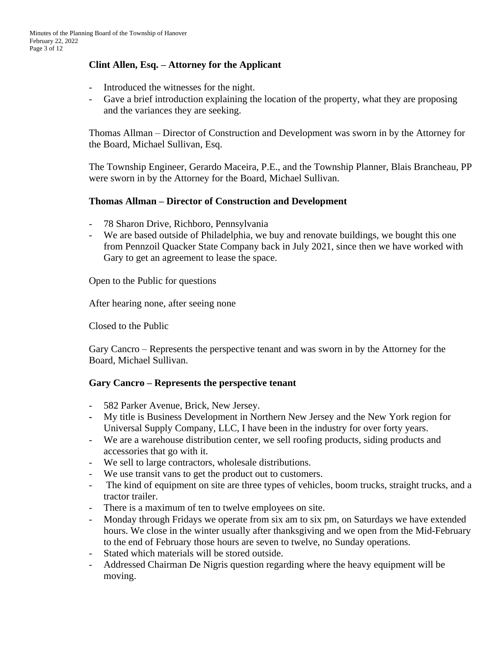# **Clint Allen, Esq. – Attorney for the Applicant**

- Introduced the witnesses for the night.
- Gave a brief introduction explaining the location of the property, what they are proposing and the variances they are seeking.

Thomas Allman – Director of Construction and Development was sworn in by the Attorney for the Board, Michael Sullivan, Esq.

The Township Engineer, Gerardo Maceira, P.E., and the Township Planner, Blais Brancheau, PP were sworn in by the Attorney for the Board, Michael Sullivan.

# **Thomas Allman – Director of Construction and Development**

- 78 Sharon Drive, Richboro, Pennsylvania
- We are based outside of Philadelphia, we buy and renovate buildings, we bought this one from Pennzoil Quacker State Company back in July 2021, since then we have worked with Gary to get an agreement to lease the space.

Open to the Public for questions

After hearing none, after seeing none

Closed to the Public

Gary Cancro – Represents the perspective tenant and was sworn in by the Attorney for the Board, Michael Sullivan.

# **Gary Cancro – Represents the perspective tenant**

- 582 Parker Avenue, Brick, New Jersey.
- **-** My title is Business Development in Northern New Jersey and the New York region for Universal Supply Company, LLC, I have been in the industry for over forty years.
- We are a warehouse distribution center, we sell roofing products, siding products and accessories that go with it.
- We sell to large contractors, wholesale distributions.
- We use transit vans to get the product out to customers.
- The kind of equipment on site are three types of vehicles, boom trucks, straight trucks, and a tractor trailer.
- There is a maximum of ten to twelve employees on site.
- Monday through Fridays we operate from six am to six pm, on Saturdays we have extended hours. We close in the winter usually after thanksgiving and we open from the Mid-February to the end of February those hours are seven to twelve, no Sunday operations.
- Stated which materials will be stored outside.
- Addressed Chairman De Nigris question regarding where the heavy equipment will be moving.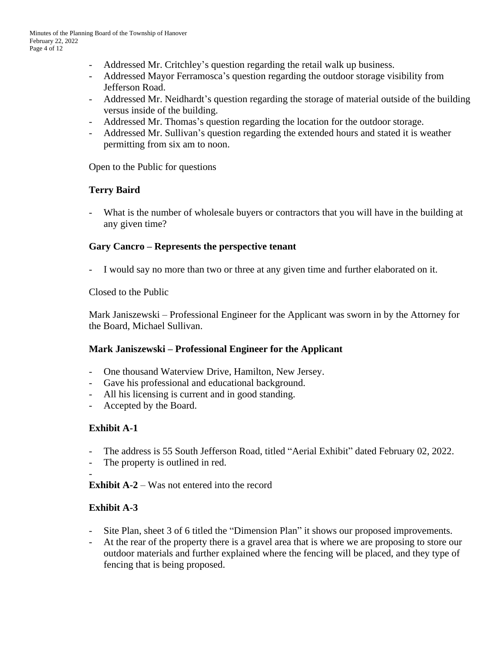- Addressed Mr. Critchley's question regarding the retail walk up business.
- Addressed Mayor Ferramosca's question regarding the outdoor storage visibility from Jefferson Road.
- Addressed Mr. Neidhardt's question regarding the storage of material outside of the building versus inside of the building.
- Addressed Mr. Thomas's question regarding the location for the outdoor storage.
- Addressed Mr. Sullivan's question regarding the extended hours and stated it is weather permitting from six am to noon.

Open to the Public for questions

# **Terry Baird**

- What is the number of wholesale buyers or contractors that you will have in the building at any given time?

### **Gary Cancro – Represents the perspective tenant**

I would say no more than two or three at any given time and further elaborated on it.

Closed to the Public

Mark Janiszewski – Professional Engineer for the Applicant was sworn in by the Attorney for the Board, Michael Sullivan.

# **Mark Janiszewski – Professional Engineer for the Applicant**

- One thousand Waterview Drive, Hamilton, New Jersey.
- Gave his professional and educational background.
- All his licensing is current and in good standing.
- Accepted by the Board.

# **Exhibit A-1**

- The address is 55 South Jefferson Road, titled "Aerial Exhibit" dated February 02, 2022.
- The property is outlined in red.

**Exhibit A-2** – Was not entered into the record

# **Exhibit A-3**

-

- Site Plan, sheet 3 of 6 titled the "Dimension Plan" it shows our proposed improvements.
- At the rear of the property there is a gravel area that is where we are proposing to store our outdoor materials and further explained where the fencing will be placed, and they type of fencing that is being proposed.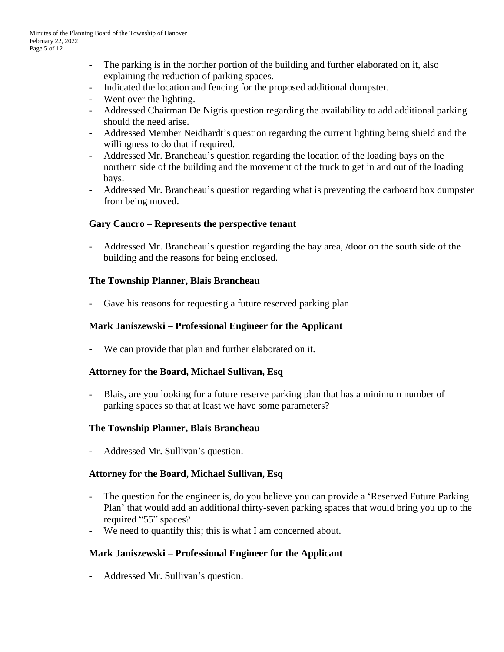- The parking is in the norther portion of the building and further elaborated on it, also explaining the reduction of parking spaces.
- Indicated the location and fencing for the proposed additional dumpster.
- Went over the lighting.
- Addressed Chairman De Nigris question regarding the availability to add additional parking should the need arise.
- Addressed Member Neidhardt's question regarding the current lighting being shield and the willingness to do that if required.
- Addressed Mr. Brancheau's question regarding the location of the loading bays on the northern side of the building and the movement of the truck to get in and out of the loading bays.
- Addressed Mr. Brancheau's question regarding what is preventing the carboard box dumpster from being moved.

### **Gary Cancro – Represents the perspective tenant**

- Addressed Mr. Brancheau's question regarding the bay area, /door on the south side of the building and the reasons for being enclosed.

### **The Township Planner, Blais Brancheau**

Gave his reasons for requesting a future reserved parking plan

### **Mark Janiszewski – Professional Engineer for the Applicant**

- We can provide that plan and further elaborated on it.

### **Attorney for the Board, Michael Sullivan, Esq**

- Blais, are you looking for a future reserve parking plan that has a minimum number of parking spaces so that at least we have some parameters?

### **The Township Planner, Blais Brancheau**

Addressed Mr. Sullivan's question.

### **Attorney for the Board, Michael Sullivan, Esq**

- The question for the engineer is, do you believe you can provide a 'Reserved Future Parking' Plan' that would add an additional thirty-seven parking spaces that would bring you up to the required "55" spaces?
- We need to quantify this; this is what I am concerned about.

# **Mark Janiszewski – Professional Engineer for the Applicant**

- Addressed Mr. Sullivan's question.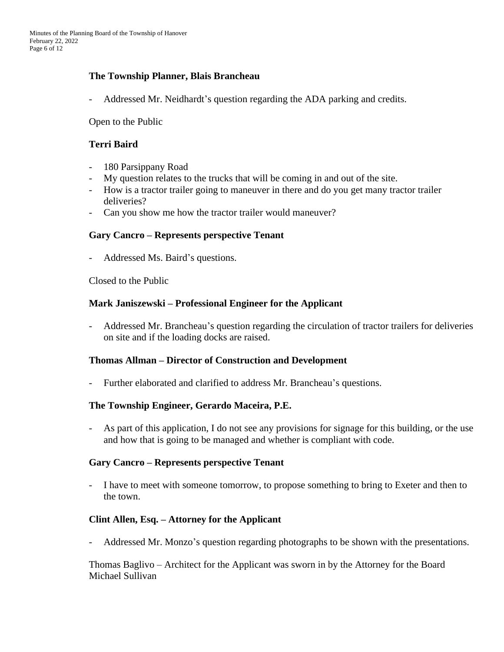### **The Township Planner, Blais Brancheau**

Addressed Mr. Neidhardt's question regarding the ADA parking and credits.

Open to the Public

### **Terri Baird**

- 180 Parsippany Road
- My question relates to the trucks that will be coming in and out of the site.
- How is a tractor trailer going to maneuver in there and do you get many tractor trailer deliveries?
- Can you show me how the tractor trailer would maneuver?

### **Gary Cancro – Represents perspective Tenant**

- Addressed Ms. Baird's questions.

Closed to the Public

#### **Mark Janiszewski – Professional Engineer for the Applicant**

- Addressed Mr. Brancheau's question regarding the circulation of tractor trailers for deliveries on site and if the loading docks are raised.

### **Thomas Allman – Director of Construction and Development**

- Further elaborated and clarified to address Mr. Brancheau's questions.

### **The Township Engineer, Gerardo Maceira, P.E.**

- As part of this application, I do not see any provisions for signage for this building, or the use and how that is going to be managed and whether is compliant with code.

### **Gary Cancro – Represents perspective Tenant**

- I have to meet with someone tomorrow, to propose something to bring to Exeter and then to the town.

### **Clint Allen, Esq. – Attorney for the Applicant**

- Addressed Mr. Monzo's question regarding photographs to be shown with the presentations.

Thomas Baglivo – Architect for the Applicant was sworn in by the Attorney for the Board Michael Sullivan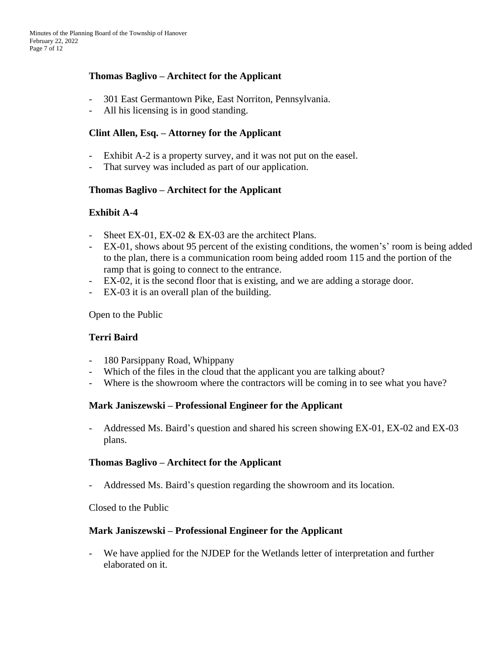# **Thomas Baglivo – Architect for the Applicant**

- 301 East Germantown Pike, East Norriton, Pennsylvania.
- All his licensing is in good standing.

### **Clint Allen, Esq. – Attorney for the Applicant**

- Exhibit A-2 is a property survey, and it was not put on the easel.
- That survey was included as part of our application.

### **Thomas Baglivo – Architect for the Applicant**

### **Exhibit A-4**

- Sheet EX-01, EX-02 & EX-03 are the architect Plans.
- EX-01, shows about 95 percent of the existing conditions, the women's' room is being added to the plan, there is a communication room being added room 115 and the portion of the ramp that is going to connect to the entrance.
- EX-02, it is the second floor that is existing, and we are adding a storage door.
- EX-03 it is an overall plan of the building.

Open to the Public

### **Terri Baird**

- 180 Parsippany Road, Whippany
- Which of the files in the cloud that the applicant you are talking about?
- Where is the showroom where the contractors will be coming in to see what you have?

### **Mark Janiszewski – Professional Engineer for the Applicant**

- Addressed Ms. Baird's question and shared his screen showing EX-01, EX-02 and EX-03 plans.

#### **Thomas Baglivo – Architect for the Applicant**

- Addressed Ms. Baird's question regarding the showroom and its location.

Closed to the Public

#### **Mark Janiszewski – Professional Engineer for the Applicant**

- We have applied for the NJDEP for the Wetlands letter of interpretation and further elaborated on it.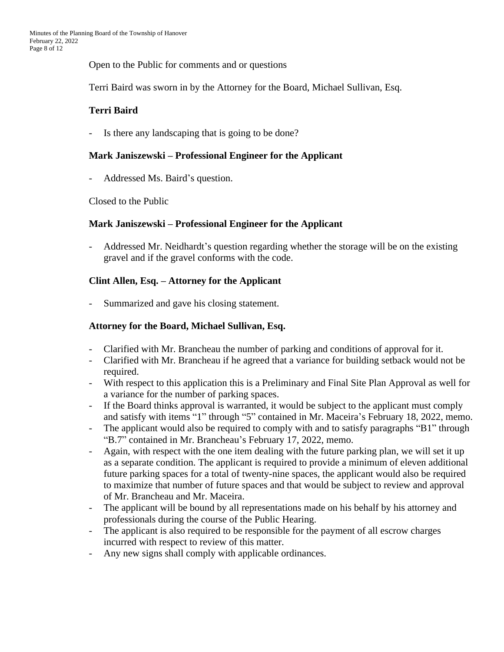Open to the Public for comments and or questions

Terri Baird was sworn in by the Attorney for the Board, Michael Sullivan, Esq.

# **Terri Baird**

- Is there any landscaping that is going to be done?

### **Mark Janiszewski – Professional Engineer for the Applicant**

- Addressed Ms. Baird's question.

Closed to the Public

### **Mark Janiszewski – Professional Engineer for the Applicant**

- Addressed Mr. Neidhardt's question regarding whether the storage will be on the existing gravel and if the gravel conforms with the code.

### **Clint Allen, Esq. – Attorney for the Applicant**

Summarized and gave his closing statement.

### **Attorney for the Board, Michael Sullivan, Esq.**

- Clarified with Mr. Brancheau the number of parking and conditions of approval for it.
- Clarified with Mr. Brancheau if he agreed that a variance for building setback would not be required.
- With respect to this application this is a Preliminary and Final Site Plan Approval as well for a variance for the number of parking spaces.
- If the Board thinks approval is warranted, it would be subject to the applicant must comply and satisfy with items "1" through "5" contained in Mr. Maceira's February 18, 2022, memo.
- The applicant would also be required to comply with and to satisfy paragraphs "B1" through "B.7" contained in Mr. Brancheau's February 17, 2022, memo.
- Again, with respect with the one item dealing with the future parking plan, we will set it up as a separate condition. The applicant is required to provide a minimum of eleven additional future parking spaces for a total of twenty-nine spaces, the applicant would also be required to maximize that number of future spaces and that would be subject to review and approval of Mr. Brancheau and Mr. Maceira.
- The applicant will be bound by all representations made on his behalf by his attorney and professionals during the course of the Public Hearing.
- The applicant is also required to be responsible for the payment of all escrow charges incurred with respect to review of this matter.
- Any new signs shall comply with applicable ordinances.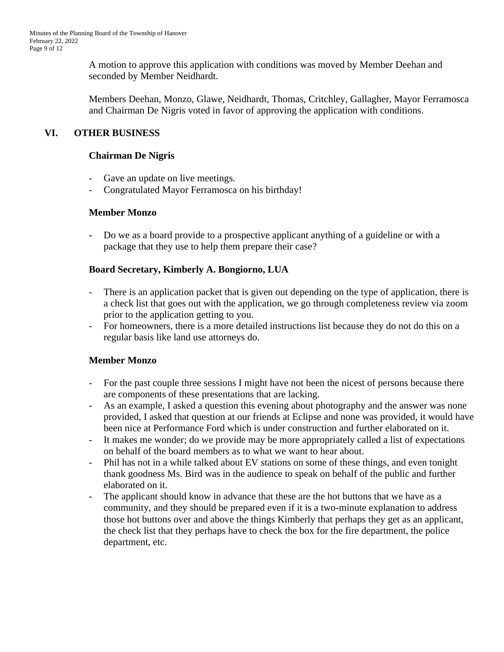A motion to approve this application with conditions was moved by Member Deehan and seconded by Member Neidhardt.

Members Deehan, Monzo, Glawe, Neidhardt, Thomas, Critchley, Gallagher, Mayor Ferramosca and Chairman De Nigris voted in favor of approving the application with conditions.

# **VI. OTHER BUSINESS**

### **Chairman De Nigris**

- Gave an update on live meetings.
- Congratulated Mayor Ferramosca on his birthday!

### **Member Monzo**

**-** Do we as a board provide to a prospective applicant anything of a guideline or with a package that they use to help them prepare their case?

# **Board Secretary, Kimberly A. Bongiorno, LUA**

- There is an application packet that is given out depending on the type of application, there is a check list that goes out with the application, we go through completeness review via zoom prior to the application getting to you.
- For homeowners, there is a more detailed instructions list because they do not do this on a regular basis like land use attorneys do.

# **Member Monzo**

- For the past couple three sessions I might have not been the nicest of persons because there are components of these presentations that are lacking.
- As an example, I asked a question this evening about photography and the answer was none provided, I asked that question at our friends at Eclipse and none was provided, it would have been nice at Performance Ford which is under construction and further elaborated on it.
- It makes me wonder; do we provide may be more appropriately called a list of expectations on behalf of the board members as to what we want to hear about.
- Phil has not in a while talked about EV stations on some of these things, and even tonight thank goodness Ms. Bird was in the audience to speak on behalf of the public and further elaborated on it.
- The applicant should know in advance that these are the hot buttons that we have as a community, and they should be prepared even if it is a two-minute explanation to address those hot buttons over and above the things Kimberly that perhaps they get as an applicant, the check list that they perhaps have to check the box for the fire department, the police department, etc.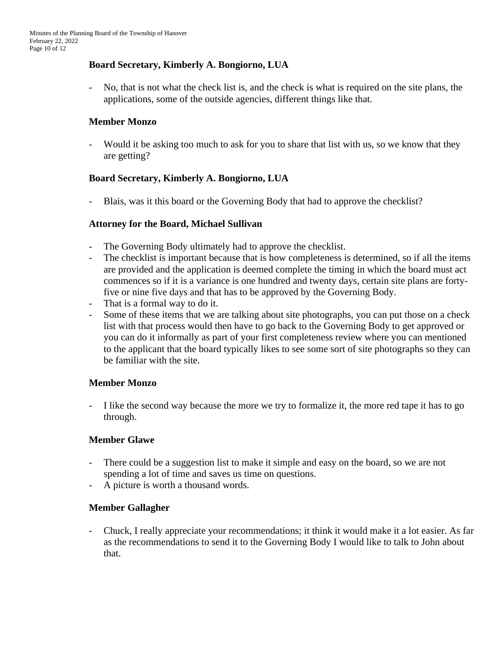### **Board Secretary, Kimberly A. Bongiorno, LUA**

- No, that is not what the check list is, and the check is what is required on the site plans, the applications, some of the outside agencies, different things like that.

### **Member Monzo**

- Would it be asking too much to ask for you to share that list with us, so we know that they are getting?

### **Board Secretary, Kimberly A. Bongiorno, LUA**

- Blais, was it this board or the Governing Body that had to approve the checklist?

### **Attorney for the Board, Michael Sullivan**

- The Governing Body ultimately had to approve the checklist.
- The checklist is important because that is how completeness is determined, so if all the items are provided and the application is deemed complete the timing in which the board must act commences so if it is a variance is one hundred and twenty days, certain site plans are fortyfive or nine five days and that has to be approved by the Governing Body.
- That is a formal way to do it.
- Some of these items that we are talking about site photographs, you can put those on a check list with that process would then have to go back to the Governing Body to get approved or you can do it informally as part of your first completeness review where you can mentioned to the applicant that the board typically likes to see some sort of site photographs so they can be familiar with the site.

### **Member Monzo**

- I like the second way because the more we try to formalize it, the more red tape it has to go through.

### **Member Glawe**

- There could be a suggestion list to make it simple and easy on the board, so we are not spending a lot of time and saves us time on questions.
- A picture is worth a thousand words.

### **Member Gallagher**

- Chuck, I really appreciate your recommendations; it think it would make it a lot easier. As far as the recommendations to send it to the Governing Body I would like to talk to John about that.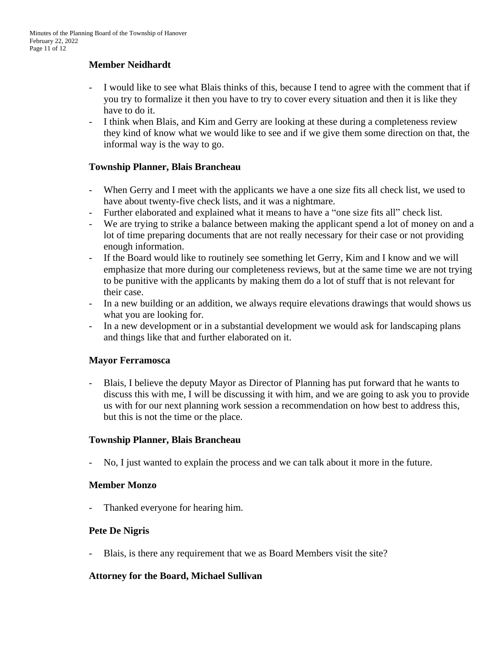# **Member Neidhardt**

- I would like to see what Blais thinks of this, because I tend to agree with the comment that if you try to formalize it then you have to try to cover every situation and then it is like they have to do it.
- I think when Blais, and Kim and Gerry are looking at these during a completeness review they kind of know what we would like to see and if we give them some direction on that, the informal way is the way to go.

### **Township Planner, Blais Brancheau**

- When Gerry and I meet with the applicants we have a one size fits all check list, we used to have about twenty-five check lists, and it was a nightmare.
- Further elaborated and explained what it means to have a "one size fits all" check list.
- We are trying to strike a balance between making the applicant spend a lot of money on and a lot of time preparing documents that are not really necessary for their case or not providing enough information.
- If the Board would like to routinely see something let Gerry, Kim and I know and we will emphasize that more during our completeness reviews, but at the same time we are not trying to be punitive with the applicants by making them do a lot of stuff that is not relevant for their case.
- In a new building or an addition, we always require elevations drawings that would shows us what you are looking for.
- In a new development or in a substantial development we would ask for landscaping plans and things like that and further elaborated on it.

### **Mayor Ferramosca**

- Blais, I believe the deputy Mayor as Director of Planning has put forward that he wants to discuss this with me, I will be discussing it with him, and we are going to ask you to provide us with for our next planning work session a recommendation on how best to address this, but this is not the time or the place.

### **Township Planner, Blais Brancheau**

- No, I just wanted to explain the process and we can talk about it more in the future.

### **Member Monzo**

- Thanked everyone for hearing him.

### **Pete De Nigris**

- Blais, is there any requirement that we as Board Members visit the site?

### **Attorney for the Board, Michael Sullivan**